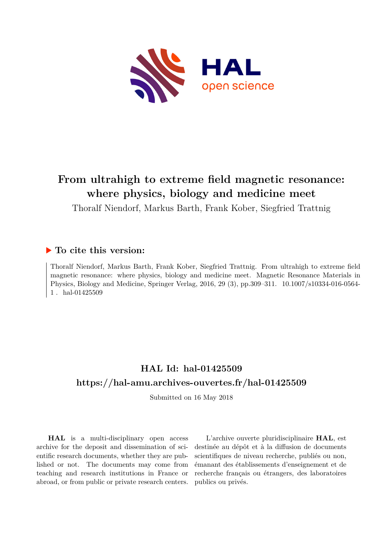

# **From ultrahigh to extreme field magnetic resonance: where physics, biology and medicine meet**

Thoralf Niendorf, Markus Barth, Frank Kober, Siegfried Trattnig

# **To cite this version:**

Thoralf Niendorf, Markus Barth, Frank Kober, Siegfried Trattnig. From ultrahigh to extreme field magnetic resonance: where physics, biology and medicine meet. Magnetic Resonance Materials in Physics, Biology and Medicine, Springer Verlag, 2016, 29 (3), pp.309-311. 10.1007/s10334-016-0564-1. hal-01425509

# **HAL Id: hal-01425509 <https://hal-amu.archives-ouvertes.fr/hal-01425509>**

Submitted on 16 May 2018

**HAL** is a multi-disciplinary open access archive for the deposit and dissemination of scientific research documents, whether they are published or not. The documents may come from teaching and research institutions in France or abroad, or from public or private research centers.

L'archive ouverte pluridisciplinaire **HAL**, est destinée au dépôt et à la diffusion de documents scientifiques de niveau recherche, publiés ou non, émanant des établissements d'enseignement et de recherche français ou étrangers, des laboratoires publics ou privés.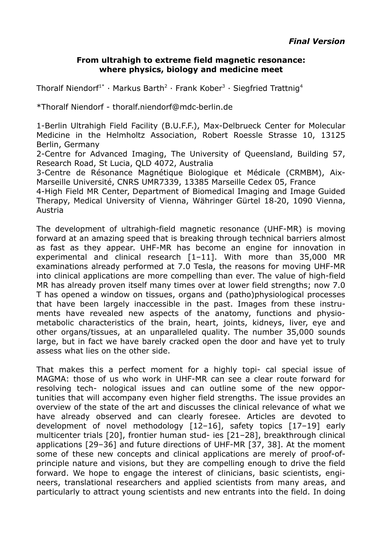#### **From ultrahigh to extreme field magnetic resonance: where physics, biology and medicine meet**

Thoralf Niendorf<sup>1\*</sup> · Markus Barth<sup>2</sup> · Frank Kober<sup>3</sup> · Siegfried Trattnig<sup>4</sup>

\*Thoralf Niendorf - thoralf.niendorf@mdc berlin.de ‐

1-Berlin Ultrahigh Field Facility (B.U.F.F.), Max-Delbrueck Center for Molecular Medicine in the Helmholtz Association, Robert Roessle Strasse 10, 13125 Berlin, Germany

2-Centre for Advanced Imaging, The University of Queensland, Building 57, Research Road, St Lucia, QLD 4072, Australia

3-Centre de Résonance Magnétique Biologique et Médicale (CRMBM), Aix-Marseille Université, CNRS UMR7339, 13385 Marseille Cedex 05, France

4-High Field MR Center, Department of Biomedical Imaging and Image Guided Therapy, Medical University of Vienna, Währinger Gürtel 18-20, 1090 Vienna, Austria

The development of ultrahigh-field magnetic resonance (UHF-MR) is moving forward at an amazing speed that is breaking through technical barriers almost as fast as they appear. UHF-MR has become an engine for innovation in experimental and clinical research [1–11]. With more than 35,000 MR examinations already performed at 7.0 Tesla, the reasons for moving UHF-MR into clinical applications are more compelling than ever. The value of high-field MR has already proven itself many times over at lower field strengths; now 7.0 T has opened a window on tissues, organs and (patho)physiological processes that have been largely inaccessible in the past. Images from these instruments have revealed new aspects of the anatomy, functions and physiometabolic characteristics of the brain, heart, joints, kidneys, liver, eye and other organs/tissues, at an unparalleled quality. The number 35,000 sounds large, but in fact we have barely cracked open the door and have yet to truly assess what lies on the other side.

That makes this a perfect moment for a highly topi- cal special issue of MAGMA: those of us who work in UHF-MR can see a clear route forward for resolving tech- nological issues and can outline some of the new opportunities that will accompany even higher field strengths. The issue provides an overview of the state of the art and discusses the clinical relevance of what we have already observed and can clearly foresee. Articles are devoted to development of novel methodology [12–16], safety topics [17–19] early multicenter trials [20], frontier human stud- ies [21–28], breakthrough clinical applications [29–36] and future directions of UHF-MR [37, 38]. At the moment some of these new concepts and clinical applications are merely of proof-ofprinciple nature and visions, but they are compelling enough to drive the field forward. We hope to engage the interest of clinicians, basic scientists, engineers, translational researchers and applied scientists from many areas, and particularly to attract young scientists and new entrants into the field. In doing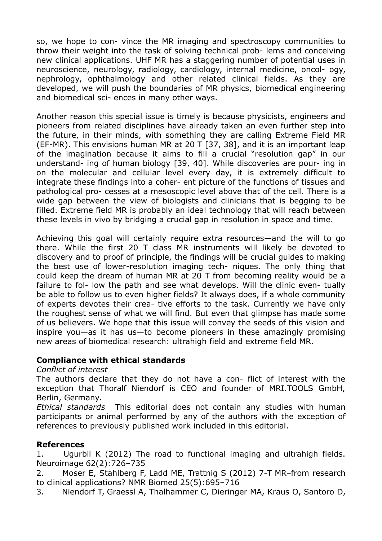so, we hope to con- vince the MR imaging and spectroscopy communities to throw their weight into the task of solving technical prob- lems and conceiving new clinical applications. UHF MR has a staggering number of potential uses in neuroscience, neurology, radiology, cardiology, internal medicine, oncol- ogy, nephrology, ophthalmology and other related clinical fields. As they are developed, we will push the boundaries of MR physics, biomedical engineering and biomedical sci- ences in many other ways.

Another reason this special issue is timely is because physicists, engineers and pioneers from related disciplines have already taken an even further step into the future, in their minds, with something they are calling Extreme Field MR (EF-MR). This envisions human MR at 20 T [37, 38], and it is an important leap of the imagination because it aims to fill a crucial "resolution gap" in our understand- ing of human biology [39, 40]. While discoveries are pour- ing in on the molecular and cellular level every day, it is extremely difficult to integrate these findings into a coher- ent picture of the functions of tissues and pathological pro- cesses at a mesoscopic level above that of the cell. There is a wide gap between the view of biologists and clinicians that is begging to be filled. Extreme field MR is probably an ideal technology that will reach between these levels in vivo by bridging a crucial gap in resolution in space and time.

Achieving this goal will certainly require extra resources—and the will to go there. While the first 20 T class MR instruments will likely be devoted to discovery and to proof of principle, the findings will be crucial guides to making the best use of lower-resolution imaging tech- niques. The only thing that could keep the dream of human MR at 20 T from becoming reality would be a failure to fol- low the path and see what develops. Will the clinic even- tually be able to follow us to even higher fields? It always does, if a whole community of experts devotes their crea- tive efforts to the task. Currently we have only the roughest sense of what we will find. But even that glimpse has made some of us believers. We hope that this issue will convey the seeds of this vision and inspire you—as it has us—to become pioneers in these amazingly promising new areas of biomedical research: ultrahigh field and extreme field MR.

## **Compliance with ethical standards**

#### *Conflict of interest*

The authors declare that they do not have a con- flict of interest with the exception that Thoralf Niendorf is CEO and founder of MRI.TOOLS GmbH, Berlin, Germany.

*Ethical standards* This editorial does not contain any studies with human participants or animal performed by any of the authors with the exception of references to previously published work included in this editorial.

## **References**

1. Ugurbil K (2012) The road to functional imaging and ultrahigh fields. Neuroimage 62(2):726–735

2. Moser E, Stahlberg F, Ladd ME, Trattnig S (2012) 7-T MR–from research to clinical applications? NMR Biomed 25(5):695–716

3. Niendorf T, Graessl A, Thalhammer C, Dieringer MA, Kraus O, Santoro D,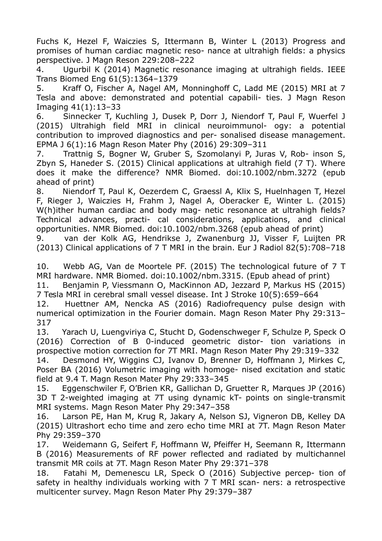Fuchs K, Hezel F, Waiczies S, Ittermann B, Winter L (2013) Progress and promises of human cardiac magnetic reso- nance at ultrahigh fields: a physics perspective. J Magn Reson 229:208–222

4. Ugurbil K (2014) Magnetic resonance imaging at ultrahigh fields. IEEE Trans Biomed Eng 61(5):1364–1379

5. Kraff O, Fischer A, Nagel AM, Monninghoff C, Ladd ME (2015) MRI at 7 Tesla and above: demonstrated and potential capabili- ties. J Magn Reson Imaging 41(1):13–33

6. Sinnecker T, Kuchling J, Dusek P, Dorr J, Niendorf T, Paul F, Wuerfel J (2015) Ultrahigh field MRI in clinical neuroimmunol- ogy: a potential contribution to improved diagnostics and per- sonalised disease management. EPMA J 6(1):16 Magn Reson Mater Phy (2016) 29:309–311

7. Trattnig S, Bogner W, Gruber S, Szomolanyi P, Juras V, Rob- inson S, Zbyn S, Haneder S. (2015) Clinical applications at ultrahigh field (7 T). Where does it make the difference? NMR Biomed. doi:10.1002/nbm.3272 (epub ahead of print)

8. Niendorf T, Paul K, Oezerdem C, Graessl A, Klix S, Huelnhagen T, Hezel F, Rieger J, Waiczies H, Frahm J, Nagel A, Oberacker E, Winter L. (2015) W(h)ither human cardiac and body mag- netic resonance at ultrahigh fields? Technical advances, practi- cal considerations, applications, and clinical opportunities. NMR Biomed. doi:10.1002/nbm.3268 (epub ahead of print)

9. van der Kolk AG, Hendrikse J, Zwanenburg JJ, Visser F, Luijten PR (2013) Clinical applications of 7 T MRI in the brain. Eur J Radiol 82(5):708–718

10. Webb AG, Van de Moortele PF. (2015) The technological future of 7 T MRI hardware. NMR Biomed. doi:10.1002/nbm.3315. (Epub ahead of print)

11. Benjamin P, Viessmann O, MacKinnon AD, Jezzard P, Markus HS (2015) 7 Tesla MRI in cerebral small vessel disease. Int J Stroke 10(5):659–664

12. Huettner AM, Nencka AS (2016) Radiofrequency pulse design with numerical optimization in the Fourier domain. Magn Reson Mater Phy 29:313– 317

13. Yarach U, Luengviriya C, Stucht D, Godenschweger F, Schulze P, Speck O (2016) Correction of B 0-induced geometric distor- tion variations in prospective motion correction for 7T MRI. Magn Reson Mater Phy 29:319–332

14. Desmond HY, Wiggins CJ, Ivanov D, Brenner D, Hoffmann J, Mirkes C, Poser BA (2016) Volumetric imaging with homoge- nised excitation and static field at 9.4 T. Magn Reson Mater Phy 29:333–345

15. Eggenschwiler F, O'Brien KR, Gallichan D, Gruetter R, Marques JP (2016) 3D T 2-weighted imaging at 7T using dynamic kT- points on single-transmit MRI systems. Magn Reson Mater Phy 29:347–358

16. Larson PE, Han M, Krug R, Jakary A, Nelson SJ, Vigneron DB, Kelley DA (2015) Ultrashort echo time and zero echo time MRI at 7T. Magn Reson Mater Phy 29:359–370

17. Weidemann G, Seifert F, Hoffmann W, Pfeiffer H, Seemann R, Ittermann B (2016) Measurements of RF power reflected and radiated by multichannel transmit MR coils at 7T. Magn Reson Mater Phy 29:371–378

18. Fatahi M, Demenescu LR, Speck O (2016) Subjective percep- tion of safety in healthy individuals working with 7 T MRI scan- ners: a retrospective multicenter survey. Magn Reson Mater Phy 29:379–387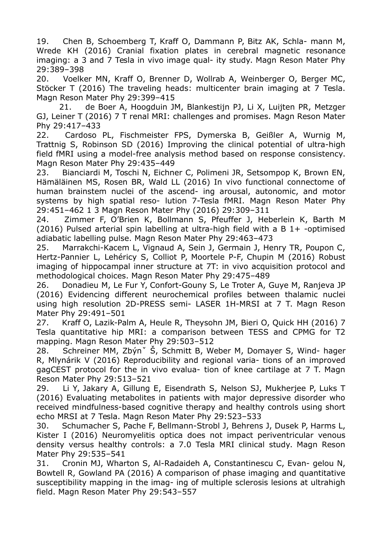19. Chen B, Schoemberg T, Kraff O, Dammann P, Bitz AK, Schla- mann M, Wrede KH (2016) Cranial fixation plates in cerebral magnetic resonance imaging: a 3 and 7 Tesla in vivo image qual- ity study. Magn Reson Mater Phy 29:389–398

20. Voelker MN, Kraff O, Brenner D, Wollrab A, Weinberger O, Berger MC, Stöcker T (2016) The traveling heads: multicenter brain imaging at 7 Tesla. Magn Reson Mater Phy 29:399–415

21. de Boer A, Hoogduin JM, Blankestijn PJ, Li X, Luijten PR, Metzger GJ, Leiner T (2016) 7 T renal MRI: challenges and promises. Magn Reson Mater Phy 29:417–433

22. Cardoso PL, Fischmeister FPS, Dymerska B, Geißler A, Wurnig M, Trattnig S, Robinson SD (2016) Improving the clinical potential of ultra-high field fMRI using a model-free analysis method based on response consistency. Magn Reson Mater Phy 29:435–449

23. Bianciardi M, Toschi N, Eichner C, Polimeni JR, Setsompop K, Brown EN, Hämäläinen MS, Rosen BR, Wald LL (2016) In vivo functional connectome of human brainstem nuclei of the ascend- ing arousal, autonomic, and motor systems by high spatial reso- lution 7-Tesla fMRI. Magn Reson Mater Phy 29:451–462 1 3 Magn Reson Mater Phy (2016) 29:309–311

24. Zimmer F, O'Brien K, Bollmann S, Pfeuffer J, Heberlein K, Barth M (2016) Pulsed arterial spin labelling at ultra-high field with a B 1+ -optimised adiabatic labelling pulse. Magn Reson Mater Phy 29:463–473

25. Marrakchi-Kacem L, Vignaud A, Sein J, Germain J, Henry TR, Poupon C, Hertz-Pannier L, Lehéricy S, Colliot P, Moortele P-F, Chupin M (2016) Robust imaging of hippocampal inner structure at 7T: in vivo acquisition protocol and methodological choices. Magn Reson Mater Phy 29:475–489

26. Donadieu M, Le Fur Y, Confort-Gouny S, Le Troter A, Guye M, Ranjeva JP (2016) Evidencing different neurochemical profiles between thalamic nuclei using high resolution 2D-PRESS semi- LASER 1H-MRSI at 7 T. Magn Reson Mater Phy 29:491–501

27. Kraff O, Lazik-Palm A, Heule R, Theysohn JM, Bieri O, Quick HH (2016) 7 Tesla quantitative hip MRI: a comparison between TESS and CPMG for T2 mapping. Magn Reson Mater Phy 29:503–512

28. Schreiner MM, Zbýnˇ Š, Schmitt B, Weber M, Domayer S, Wind- hager R, Mlynárik V (2016) Reproducibility and regional varia- tions of an improved gagCEST protocol for the in vivo evalua- tion of knee cartilage at 7 T. Magn Reson Mater Phy 29:513–521

29. Li Y, Jakary A, Gillung E, Eisendrath S, Nelson SJ, Mukherjee P, Luks T (2016) Evaluating metabolites in patients with major depressive disorder who received mindfulness-based cognitive therapy and healthy controls using short echo MRSI at 7 Tesla. Magn Reson Mater Phy 29:523–533

30. Schumacher S, Pache F, Bellmann-Strobl J, Behrens J, Dusek P, Harms L, Kister I (2016) Neuromyelitis optica does not impact periventricular venous density versus healthy controls: a 7.0 Tesla MRI clinical study. Magn Reson Mater Phy 29:535–541

31. Cronin MJ, Wharton S, Al-Radaideh A, Constantinescu C, Evan- gelou N, Bowtell R, Gowland PA (2016) A comparison of phase imaging and quantitative susceptibility mapping in the imag- ing of multiple sclerosis lesions at ultrahigh field. Magn Reson Mater Phy 29:543–557